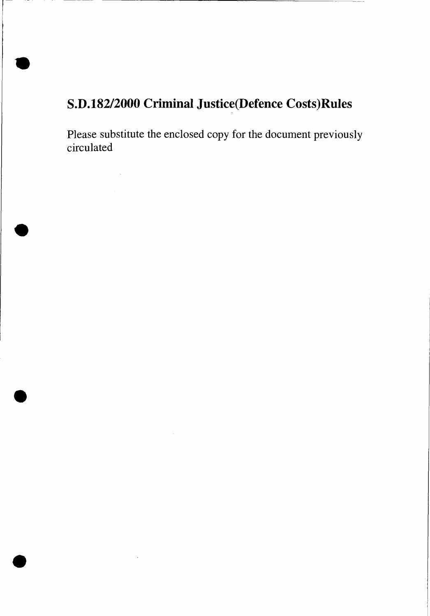# **S.D.182/2000 Criminal Justice(Defence Costs)Rules**

**•** 

•

 $\sim$   $\sim$ 

•

•

Please substitute the enclosed copy for the document previously circulated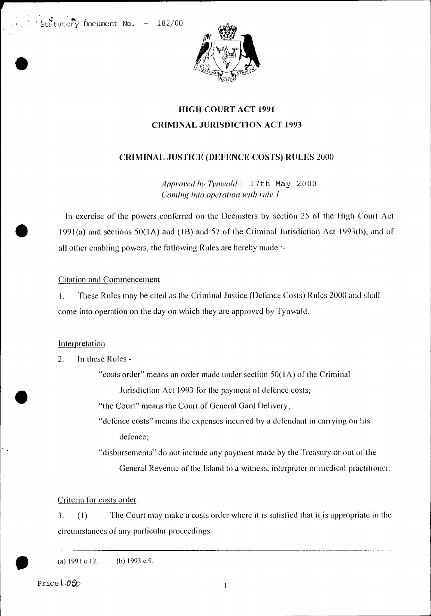$\frac{1}{2}$ tutory Document No. - 182/00

•



# HIGH COURT ACT 1991 CRIMINAL JURISDICTION ACT 1993

# CRIMINAL JUSTICE (DEFENCE COSTS) RULES 2000

*Approved by Tynwald :* 1 7 th May 2000 *Coming into operation with rule 1* 

In exercise of the powers conferred on the Deemsters by section 25 of the High Court Act 1991(a) and sections  $50(1A)$  and  $(1B)$  and  $57$  of the Criminal Jurisdiction Act 1993(b), and of all other enabling powers, the following Rules are hereby made :-

### Citation and Commencement

1. These Rules may be cited as the Criminal Justice (Defence Costs) Rules 2000 and shall come into operation on the day on which they are approved by Tynwald.

# Interpretation

•

2. In these Rules -

"costs order" means an order made under section  $50(1A)$  of the Criminal

Jurisdiction Act 1993 for the payment of defence costs;

"the Court" means the Court of General Gaol Delivery;

"defence costs" means the expenses incurred by a defendant in carrying on his defence;

"disbursements" do not include any payment made by the Treasury or out of the General Revenue of the Island to a witness, interpreter or medical practitioner.

# Criteria for costs order

3. (1) The Court may make a costs order where it is satisfied that it is appropriate in the circumstances of any particular proceedings.

(a)  $1991 \text{ c.} 12.$  (b)  $1993 \text{ c.} 9.$ 

• Price | 00p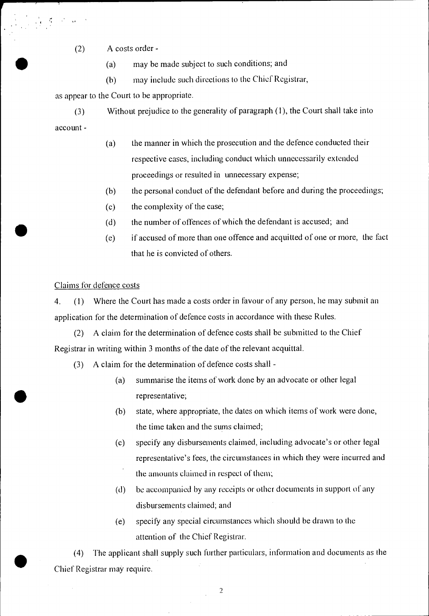(2) A costs order -

(a) may be made subject to such conditions; and

(b) may include such directions to the Chief Registrar,

as appear to the Court to be appropriate.

(3) Without prejudice to the generality of paragraph (1), the Court shall take into account -

- (a) the manner in which the prosecution and the defence conducted their respective cases, including conduct which unnecessarily extended proceedings or resulted in unnecessary expense;
- (b) the personal conduct of the defendant before and during the proceedings;
- (c) the complexity of the case;
- (d) the number of offences of which the defendant is accused; and
- (e) if accused of more than one offence and acquitted of one or more, the fact that he is convicted of others.

#### Claims for defence costs

•

•

•

4. (1) Where the Court has made a costs order in favour of any person, he may submit an application for the determination of defence costs in accordance with these Rules.

(2) A claim for the determination of defence costs shall be submitted to the Chief Registrar in writing within 3 months of the date of the relevant acquittal.

- (3) A claim for the determination of defence costs shall
	- (a) summarise the items of work done by an advocate or other legal representative;
	- (b) state, where appropriate, the dates on which items of work were done, the time taken and the sums claimed;
	- (c) specify any disbursements claimed, including advocate's or other legal representative's fees, the circumstances in which they were incurred and the amounts claimed in respect of them;
	- (d) be accompanied by any receipts or other documents in support of any disbursements claimed; and
	- (e) specify any special circumstances which should be drawn to the attention of the Chief Registrar.

(4) The applicant shall supply such further particulars, information and documents as the Chief Registrar may require.

 $\overline{2}$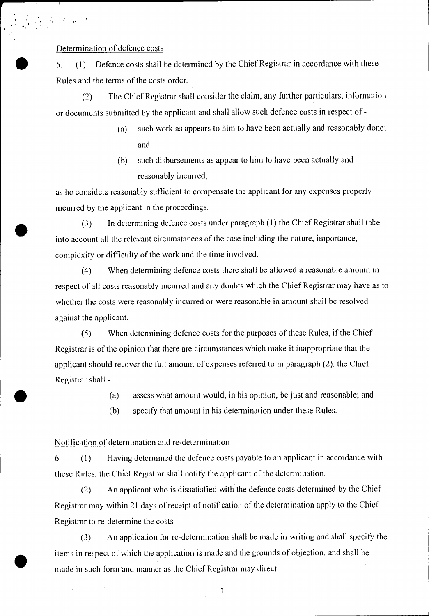#### Determination of defence costs

•

•

5. (1) Defence costs shall be determined by the Chief Registrar in accordance with these Rules and the terms of the costs order.

(2) The Chief Registrar shall consider the claim, any further particulars, information or documents submitted by the applicant and shall allow such defence costs in respect of -

- (a) such work as appears to him to have been actually and reasonably done; and
- (b) such disbursements as appear to him to have been actually and reasonably incurred,

as he considers reasonably sufficient to compensate the applicant for any expenses properly incurred by the applicant in the proceedings.

 $\bullet$  (3) In determining defence costs under paragraph (1) the Chief Registrar shall take into account all the relevant circumstances of the case including the nature, importance, complexity or difficulty of the work and the time involved.

> (4) When determining defence costs there shall be allowed a reasonable amount in respect of all costs reasonably incurred and any doubts which the Chief Registrar may have as to whether the costs were reasonably incurred or were reasonable in amount shall he resolved against the applicant.

(5) When determining defence costs for the purposes of these Rules, if the Chief Registrar is of the opinion that there are circumstances which make it inappropriate that the applicant should recover the full amount of expenses referred to in paragraph (2), the Chief Registrar shall -

(a) assess what amount would, in his opinion, be just and reasonable; and

(b) specify that amount in his determination under these Rules.

#### Notification of determination and re-determination

6. ( <sup>1</sup> ) Having determined the defence costs payable to an applicant in accordance with these Rules, the Chief Registrar shall notify the applicant of the determination.

(2) An applicant who is dissatisfied with the defence costs determined by the Chief Registrar may within 21 days of receipt of notification of the determination apply to the Chief Registrar to re-determine the costs.

(3) An application for re-determination shall be made in writing and shall specify the items in respect of which the application is made and the grounds of objection, and shall be made in such form and manner as the Chief Registrar may direct.

3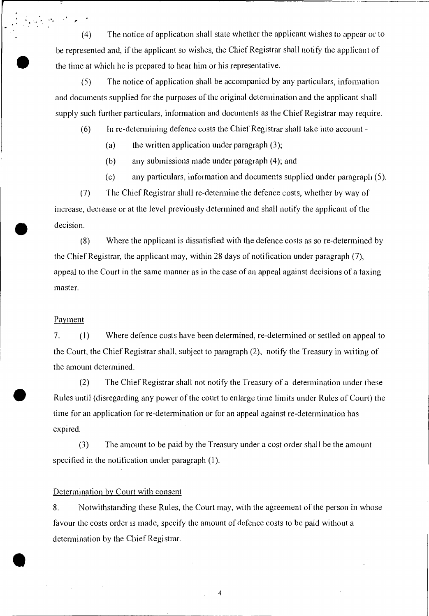(4) The notice of application shall state whether the applicant wishes to appear or to be represented and, if the applicant so wishes, the Chief Registrar shall notify the applicant of the time at which he is prepared to hear him or his representative.

(5) The notice of application shall be accompanied by any particulars, information and documents supplied for the purposes of the original determination and the applicant shall supply such further particulars, information and documents as the Chief Registrar may require.

(6) In re-determining defence costs the Chief Registrar shall take into account -

(a) the written application under paragraph  $(3)$ ;

(b) any submissions made under paragraph (4); and

(c) any particulars, information and documents supplied under paragraph (5).

(7) The Chief Registrar shall re-determine the defence costs, whether by way of increase, decrease or at the level previously determined and shall notify the applicant of the decision.

(8) Where the applicant is dissatisfied with the defence costs as so re-determined by the Chief Registrar, the applicant may, within 28 days of notification under paragraph (7), appeal to the Court in the same manner as in the case of an appeal against decisions of a taxing master.

#### **Payment**

•

, •

7. (1) Where defence costs have been determined, re-determined or settled on appeal to the Court, the Chief Registrar shall, subject to paragraph (2), notify the Treasury in writing of the amount determined.

(2) The Chief Registrar shall not notify the Treasury of a determination under these Rules until (disregarding any power of the court to enlarge time limits under Rules of Court) the time for an application for re-determination or for an appeal against re-determination has expired.

(3) The amount to be paid by the Treasury under a cost order shall be the amount specified in the notification under paragraph (1).

#### Determination by Court with consent

8. Notwithstanding these Rules, the Court may, with the agreement of the person in whose favour the costs order is made, specify the amount of defence costs to be paid without a determination by the Chief Registrar.

4